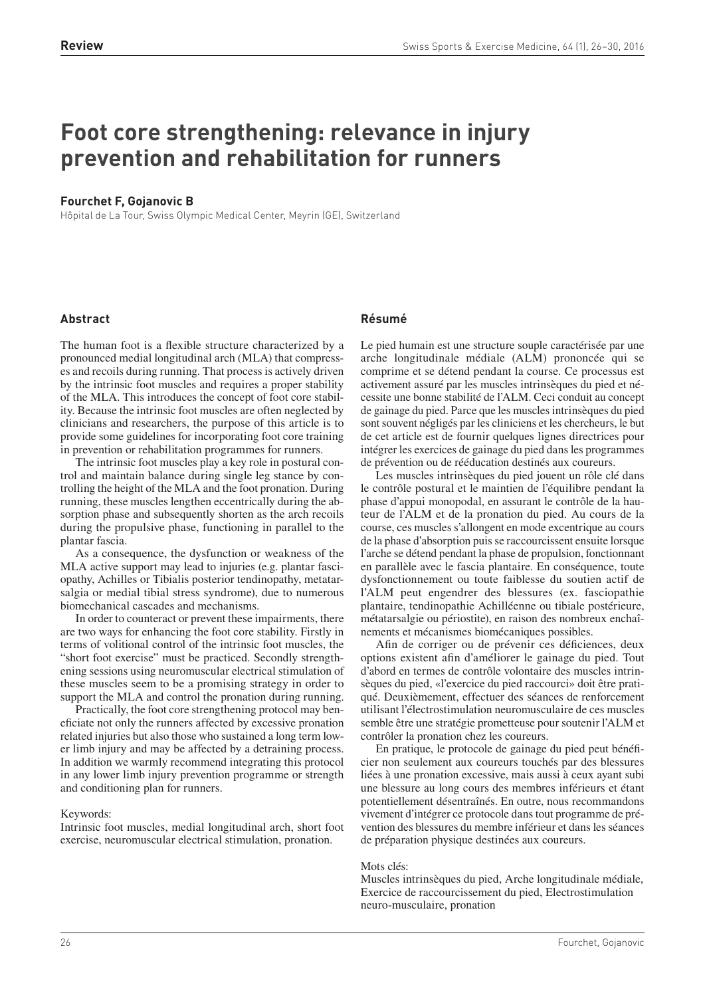# **Foot core strengthening: relevance in injury prevention and rehabilitation for runners**

## **Fourchet F, Gojanovic B**

Hôpital de La Tour, Swiss Olympic Medical Center, Meyrin (GE), Switzerland

# **Abstract**

## **Résumé**

The human foot is a flexible structure characterized by a pronounced medial longitudinal arch (MLA) that compresses and recoils during running. That process is actively driven by the intrinsic foot muscles and requires a proper stability of the MLA. This introduces the concept of foot core stability. Because the intrinsic foot muscles are often neglected by clinicians and researchers, the purpose of this article is to provide some guidelines for incorporating foot core training in prevention or rehabilitation programmes for runners.

The intrinsic foot muscles play a key role in postural control and maintain balance during single leg stance by controlling the height of the MLA and the foot pronation. During running, these muscles lengthen eccentrically during the absorption phase and subsequently shorten as the arch recoils during the propulsive phase, functioning in parallel to the plantar fascia.

As a consequence, the dysfunction or weakness of the MLA active support may lead to injuries (e.g. plantar fasciopathy, Achilles or Tibialis posterior tendinopathy, metatarsalgia or medial tibial stress syndrome), due to numerous biomechanical cascades and mechanisms.

In order to counteract or prevent these impairments, there are two ways for enhancing the foot core stability. Firstly in terms of volitional control of the intrinsic foot muscles, the "short foot exercise" must be practiced. Secondly strengthening sessions using neuromuscular electrical stimulation of these muscles seem to be a promising strategy in order to support the MLA and control the pronation during running.

Practically, the foot core strengthening protocol may beneficiate not only the runners affected by excessive pronation related injuries but also those who sustained a long term lower limb injury and may be affected by a detraining process. In addition we warmly recommend integrating this protocol in any lower limb injury prevention programme or strength and conditioning plan for runners.

## Keywords:

Intrinsic foot muscles, medial longitudinal arch, short foot exercise, neuromuscular electrical stimulation, pronation.

Le pied humain est une structure souple caractérisée par une arche longitudinale médiale (ALM) prononcée qui se comprime et se détend pendant la course. Ce processus est activement assuré par les muscles intrinsèques du pied et nécessite une bonne stabilité de l'ALM. Ceci conduit au concept de gainage du pied. Parce que les muscles intrinsèques du pied sont souvent négligés par les cliniciens et les chercheurs, le but de cet article est de fournir quelques lignes directrices pour intégrer les exercices de gainage du pied dans les programmes de prévention ou de rééducation destinés aux coureurs.

Les muscles intrinsèques du pied jouent un rôle clé dans le contrôle postural et le maintien de l'équilibre pendant la phase d'appui monopodal, en assurant le contrôle de la hauteur de l'ALM et de la pronation du pied. Au cours de la course, ces muscles s'allongent en mode excentrique au cours de la phase d'absorption puis se raccourcissent ensuite lorsque l'arche se détend pendant la phase de propulsion, fonctionnant en parallèle avec le fascia plantaire. En conséquence, toute dysfonctionnement ou toute faiblesse du soutien actif de l'ALM peut engendrer des blessures (ex. fasciopathie plantaire, tendinopathie Achilléenne ou tibiale postérieure, métatarsalgie ou périostite), en raison des nombreux enchaînements et mécanismes biomécaniques possibles.

Afin de corriger ou de prévenir ces déficiences, deux options existent afin d'améliorer le gainage du pied. Tout d'abord en termes de contrôle volontaire des muscles intrinsèques du pied, «l'exercice du pied raccourci» doit être pratiqué. Deuxièmement, effectuer des séances de renforcement utilisant l'électrostimulation neuromusculaire de ces muscles semble être une stratégie prometteuse pour soutenir l'ALM et contrôler la pronation chez les coureurs.

En pratique, le protocole de gainage du pied peut bénéficier non seulement aux coureurs touchés par des blessures liées à une pronation excessive, mais aussi à ceux ayant subi une blessure au long cours des membres inférieurs et étant potentiellement désentraînés. En outre, nous recommandons vivement d'intégrer ce protocole dans tout programme de prévention des blessures du membre inférieur et dans les séances de préparation physique destinées aux coureurs.

#### Mots clés:

Muscles intrinsèques du pied, Arche longitudinale médiale, Exercice de raccourcissement du pied, Electrostimulation neuro-musculaire, pronation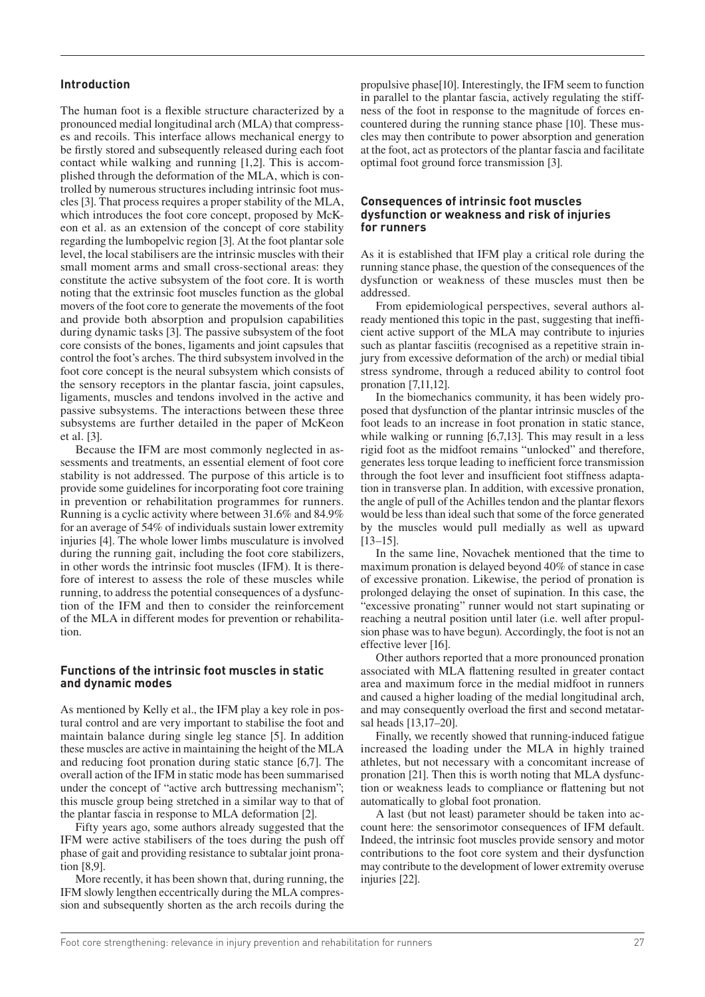## **Introduction**

The human foot is a flexible structure characterized by a pronounced medial longitudinal arch (MLA) that compresses and recoils. This interface allows mechanical energy to be firstly stored and subsequently released during each foot contact while walking and running [1,2]. This is accomplished through the deformation of the MLA, which is controlled by numerous structures including intrinsic foot muscles [3]. That process requires a proper stability of the MLA, which introduces the foot core concept, proposed by McKeon et al. as an extension of the concept of core stability regarding the lumbopelvic region [3]. At the foot plantar sole level, the local stabilisers are the intrinsic muscles with their small moment arms and small cross-sectional areas: they constitute the active subsystem of the foot core. It is worth noting that the extrinsic foot muscles function as the global movers of the foot core to generate the movements of the foot and provide both absorption and propulsion capabilities during dynamic tasks [3]. The passive subsystem of the foot core consists of the bones, ligaments and joint capsules that control the foot's arches. The third subsystem involved in the foot core concept is the neural subsystem which consists of the sensory receptors in the plantar fascia, joint capsules, ligaments, muscles and tendons involved in the active and passive subsystems. The interactions between these three subsystems are further detailed in the paper of McKeon et al. [3].

Because the IFM are most commonly neglected in assessments and treatments, an essential element of foot core stability is not addressed. The purpose of this article is to provide some guidelines for incorporating foot core training in prevention or rehabilitation programmes for runners. Running is a cyclic activity where between 31.6% and 84.9% for an average of 54% of individuals sustain lower extremity injuries [4]. The whole lower limbs musculature is involved during the running gait, including the foot core stabilizers, in other words the intrinsic foot muscles (IFM). It is therefore of interest to assess the role of these muscles while running, to address the potential consequences of a dysfunction of the IFM and then to consider the reinforcement of the MLA in different modes for prevention or rehabilitation.

## **Functions of the intrinsic foot muscles in static and dynamic modes**

As mentioned by Kelly et al., the IFM play a key role in postural control and are very important to stabilise the foot and maintain balance during single leg stance [5]. In addition these muscles are active in maintaining the height of the MLA and reducing foot pronation during static stance [6,7]. The overall action of the IFM in static mode has been summarised under the concept of "active arch buttressing mechanism"; this muscle group being stretched in a similar way to that of the plantar fascia in response to MLA deformation [2].

Fifty years ago, some authors already suggested that the IFM were active stabilisers of the toes during the push off phase of gait and providing resistance to subtalar joint pronation [8,9].

More recently, it has been shown that, during running, the IFM slowly lengthen eccentrically during the MLA compression and subsequently shorten as the arch recoils during the

propulsive phase[10]. Interestingly, the IFM seem to function in parallel to the plantar fascia, actively regulating the stiffness of the foot in response to the magnitude of forces encountered during the running stance phase [10]. These muscles may then contribute to power absorption and generation at the foot, act as protectors of the plantar fascia and facilitate optimal foot ground force transmission [3].

#### **Consequences of intrinsic foot muscles dysfunction or weakness and risk of injuries for runners**

As it is established that IFM play a critical role during the running stance phase, the question of the consequences of the dysfunction or weakness of these muscles must then be addressed.

From epidemiological perspectives, several authors already mentioned this topic in the past, suggesting that inefficient active support of the MLA may contribute to injuries such as plantar fasciitis (recognised as a repetitive strain injury from excessive deformation of the arch) or medial tibial stress syndrome, through a reduced ability to control foot pronation [7,11,12].

In the biomechanics community, it has been widely proposed that dysfunction of the plantar intrinsic muscles of the foot leads to an increase in foot pronation in static stance, while walking or running [6,7,13]. This may result in a less rigid foot as the midfoot remains "unlocked" and therefore, generates less torque leading to inefficient force transmission through the foot lever and insufficient foot stiffness adaptation in transverse plan. In addition, with excessive pronation, the angle of pull of the Achilles tendon and the plantar flexors would be less than ideal such that some of the force generated by the muscles would pull medially as well as upward [13–15].

In the same line, Novachek mentioned that the time to maximum pronation is delayed beyond 40% of stance in case of excessive pronation. Likewise, the period of pronation is prolonged delaying the onset of supination. In this case, the "excessive pronating" runner would not start supinating or reaching a neutral position until later (i.e. well after propulsion phase was to have begun). Accordingly, the foot is not an effective lever [16].

Other authors reported that a more pronounced pronation associated with MLA flattening resulted in greater contact area and maximum force in the medial midfoot in runners and caused a higher loading of the medial longitudinal arch, and may consequently overload the first and second metatarsal heads [13,17–20].

Finally, we recently showed that running-induced fatigue increased the loading under the MLA in highly trained athletes, but not necessary with a concomitant increase of pronation [21]. Then this is worth noting that MLA dysfunction or weakness leads to compliance or flattening but not automatically to global foot pronation.

A last (but not least) parameter should be taken into account here: the sensorimotor consequences of IFM default. Indeed, the intrinsic foot muscles provide sensory and motor contributions to the foot core system and their dysfunction may contribute to the development of lower extremity overuse injuries [22].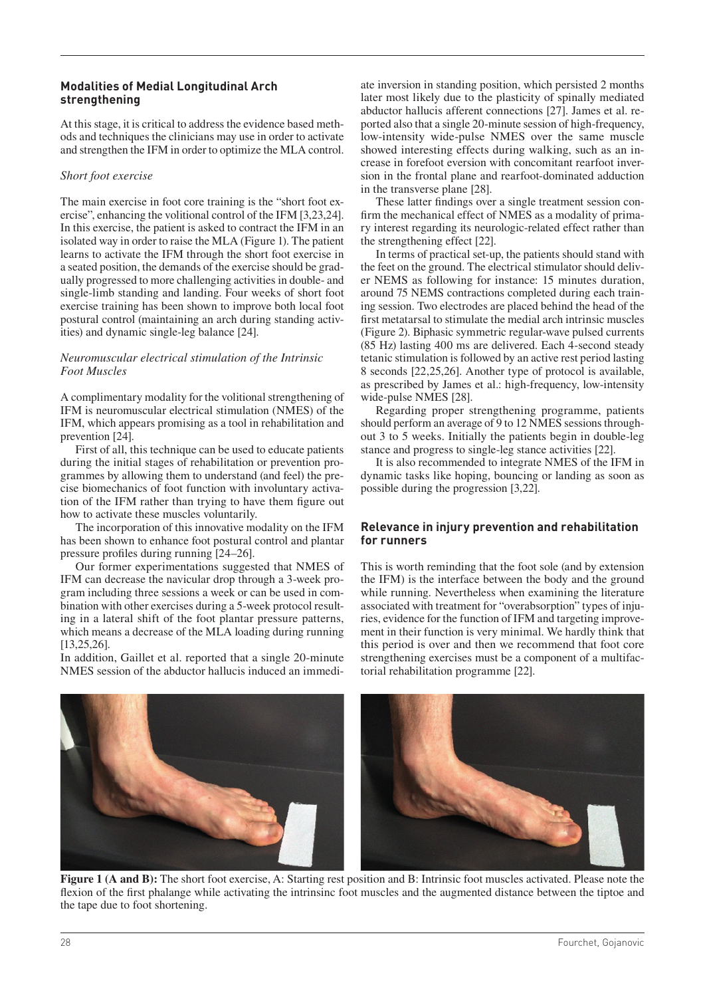## **Modalities of Medial Longitudinal Arch strengthening**

At this stage, it is critical to address the evidence based methods and techniques the clinicians may use in order to activate and strengthen the IFM in order to optimize the MLA control.

## *Short foot exercise*

The main exercise in foot core training is the "short foot exercise", enhancing the volitional control of the IFM [3,23,24]. In this exercise, the patient is asked to contract the IFM in an isolated way in order to raise the MLA (Figure 1). The patient learns to activate the IFM through the short foot exercise in a seated position, the demands of the exercise should be gradually progressed to more challenging activities in double- and single-limb standing and landing. Four weeks of short foot exercise training has been shown to improve both local foot postural control (maintaining an arch during standing activities) and dynamic single-leg balance [24].

## *Neuromuscular electrical stimulation of the Intrinsic Foot Muscles*

A complimentary modality for the volitional strengthening of IFM is neuromuscular electrical stimulation (NMES) of the IFM, which appears promising as a tool in rehabilitation and prevention [24].

First of all, this technique can be used to educate patients during the initial stages of rehabilitation or prevention programmes by allowing them to understand (and feel) the precise biomechanics of foot function with involuntary activation of the IFM rather than trying to have them figure out how to activate these muscles voluntarily.

The incorporation of this innovative modality on the IFM has been shown to enhance foot postural control and plantar pressure profiles during running [24–26].

Our former experimentations suggested that NMES of IFM can decrease the navicular drop through a 3-week program including three sessions a week or can be used in combination with other exercises during a 5-week protocol resulting in a lateral shift of the foot plantar pressure patterns, which means a decrease of the MLA loading during running [13,25,26].

In addition, Gaillet et al. reported that a single 20-minute NMES session of the abductor hallucis induced an immediate inversion in standing position, which persisted 2 months later most likely due to the plasticity of spinally mediated abductor hallucis afferent connections [27]. James et al. reported also that a single 20-minute session of high-frequency, low-intensity wide-pulse NMES over the same muscle showed interesting effects during walking, such as an increase in forefoot eversion with concomitant rearfoot inversion in the frontal plane and rearfoot-dominated adduction in the transverse plane [28].

These latter findings over a single treatment session confirm the mechanical effect of NMES as a modality of primary interest regarding its neurologic-related effect rather than the strengthening effect [22].

In terms of practical set-up, the patients should stand with the feet on the ground. The electrical stimulator should deliver NEMS as following for instance: 15 minutes duration, around 75 NEMS contractions completed during each training session. Two electrodes are placed behind the head of the first metatarsal to stimulate the medial arch intrinsic muscles (Figure 2). Biphasic symmetric regular-wave pulsed currents (85 Hz) lasting 400 ms are delivered. Each 4-second steady tetanic stimulation is followed by an active rest period lasting 8 seconds [22,25,26]. Another type of protocol is available, as prescribed by James et al.: high-frequency, low-intensity wide-pulse NMES [28].

Regarding proper strengthening programme, patients should perform an average of 9 to 12 NMES sessions throughout 3 to 5 weeks. Initially the patients begin in double-leg stance and progress to single-leg stance activities [22].

It is also recommended to integrate NMES of the IFM in dynamic tasks like hoping, bouncing or landing as soon as possible during the progression [3,22].

## **Relevance in injury prevention and rehabilitation for runners**

This is worth reminding that the foot sole (and by extension the IFM) is the interface between the body and the ground while running. Nevertheless when examining the literature associated with treatment for "overabsorption" types of injuries, evidence for the function of IFM and targeting improvement in their function is very minimal. We hardly think that this period is over and then we recommend that foot core strengthening exercises must be a component of a multifactorial rehabilitation programme [22].



**Figure 1 (A and B):** The short foot exercise, A: Starting rest position and B: Intrinsic foot muscles activated. Please note the flexion of the first phalange while activating the intrinsinc foot muscles and the augmented distance between the tiptoe and the tape due to foot shortening.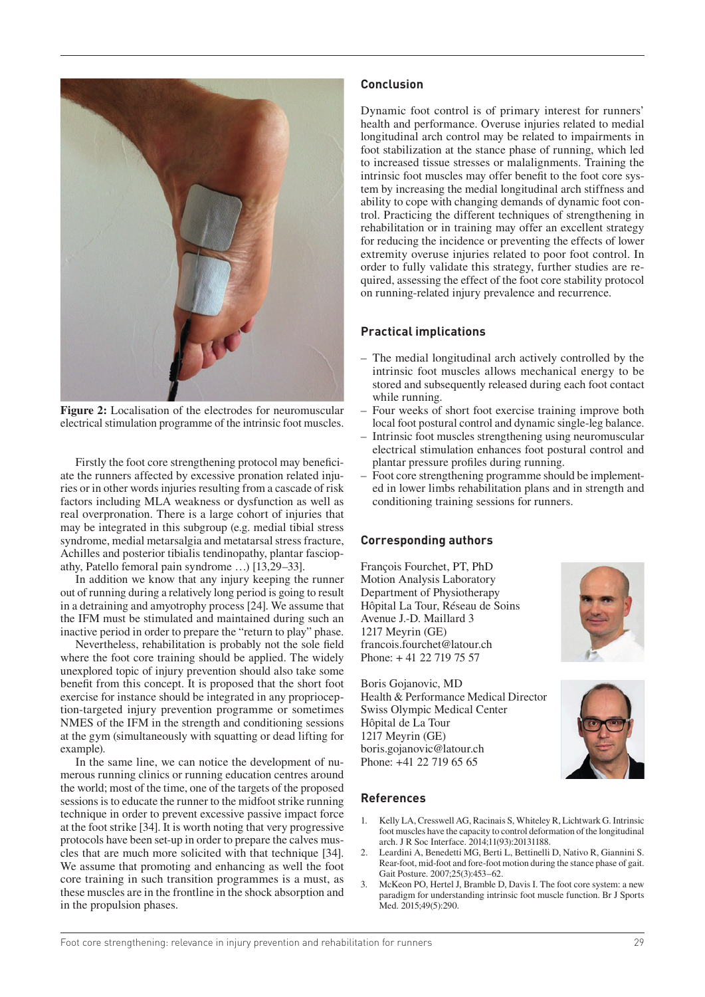

**Figure 2:** Localisation of the electrodes for neuromuscular electrical stimulation programme of the intrinsic foot muscles.

Firstly the foot core strengthening protocol may beneficiate the runners affected by excessive pronation related injuries or in other words injuries resulting from a cascade of risk factors including MLA weakness or dysfunction as well as real overpronation. There is a large cohort of injuries that may be integrated in this subgroup (e.g. medial tibial stress syndrome, medial metarsalgia and metatarsal stress fracture, Achilles and posterior tibialis tendinopathy, plantar fasciopathy, Patello femoral pain syndrome …) [13,29–33].

In addition we know that any injury keeping the runner out of running during a relatively long period is going to result in a detraining and amyotrophy process [24]. We assume that the IFM must be stimulated and maintained during such an inactive period in order to prepare the "return to play" phase.

Nevertheless, rehabilitation is probably not the sole field where the foot core training should be applied. The widely unexplored topic of injury prevention should also take some benefit from this concept. It is proposed that the short foot exercise for instance should be integrated in any proprioception-targeted injury prevention programme or sometimes NMES of the IFM in the strength and conditioning sessions at the gym (simultaneously with squatting or dead lifting for example).

In the same line, we can notice the development of numerous running clinics or running education centres around the world; most of the time, one of the targets of the proposed sessions is to educate the runner to the midfoot strike running technique in order to prevent excessive passive impact force at the foot strike [34]. It is worth noting that very progressive protocols have been set-up in order to prepare the calves muscles that are much more solicited with that technique [34]. We assume that promoting and enhancing as well the foot core training in such transition programmes is a must, as these muscles are in the frontline in the shock absorption and in the propulsion phases.

## **Conclusion**

Dynamic foot control is of primary interest for runners' health and performance. Overuse injuries related to medial longitudinal arch control may be related to impairments in foot stabilization at the stance phase of running, which led to increased tissue stresses or malalignments. Training the intrinsic foot muscles may offer benefit to the foot core system by increasing the medial longitudinal arch stiffness and ability to cope with changing demands of dynamic foot control. Practicing the different techniques of strengthening in rehabilitation or in training may offer an excellent strategy for reducing the incidence or preventing the effects of lower extremity overuse injuries related to poor foot control. In order to fully validate this strategy, further studies are required, assessing the effect of the foot core stability protocol on running-related injury prevalence and recurrence.

## **Practical implications**

- The medial longitudinal arch actively controlled by the intrinsic foot muscles allows mechanical energy to be stored and subsequently released during each foot contact while running.
- Four weeks of short foot exercise training improve both local foot postural control and dynamic single-leg balance.
- Intrinsic foot muscles strengthening using neuromuscular electrical stimulation enhances foot postural control and plantar pressure profiles during running.
- Foot core strengthening programme should be implemented in lower limbs rehabilitation plans and in strength and conditioning training sessions for runners.

## **Corresponding authors**

François Fourchet, PT, PhD Motion Analysis Laboratory Department of Physiotherapy Hôpital La Tour, Réseau de Soins Avenue J.-D. Maillard 3 1217 Meyrin (GE) francois.fourchet@latour.ch Phone: + 41 22 719 75 57

Boris Gojanovic, MD Health & Performance Medical Director Swiss Olympic Medical Center Hôpital de La Tour 1217 Meyrin (GE) boris.gojanovic@latour.ch Phone: +41 22 719 65 65

#### **References**

- 1. Kelly LA, Cresswell AG, Racinais S, Whiteley R, Lichtwark G. Intrinsic foot muscles have the capacity to control deformation of the longitudinal arch. J R Soc Interface. 2014;11(93):20131188.
- 2. Leardini A, Benedetti MG, Berti L, Bettinelli D, Nativo R, Giannini S. Rear-foot, mid-foot and fore-foot motion during the stance phase of gait. Gait Posture. 2007;25(3):453–62.
- 3. McKeon PO, Hertel J, Bramble D, Davis I. The foot core system: a new paradigm for understanding intrinsic foot muscle function. Br J Sports Med. 2015;49(5):290.